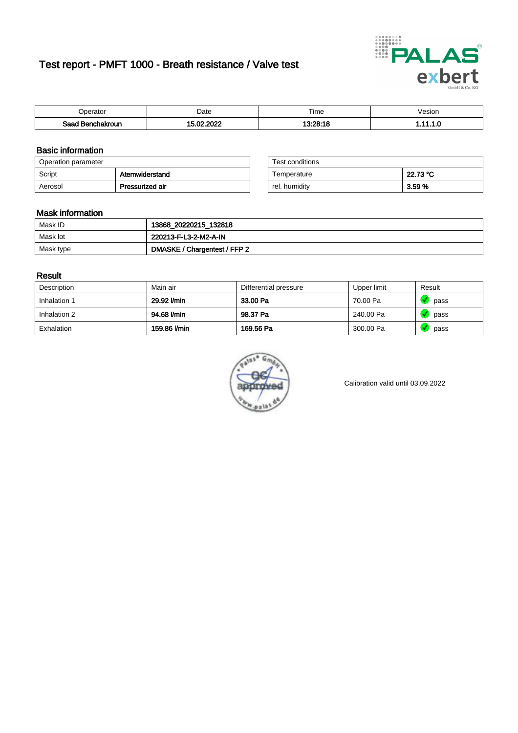# Test report - PMFT 1000 - Breath resistance / Valve test



| <b>'</b> perator              | Date           | $- \cdot$<br>Time | /esion |
|-------------------------------|----------------|-------------------|--------|
| Saad<br><b>nchakroun</b><br>. | 000<br>Λr<br>. | 19.90.40          | .      |

### Basic information

| Operation parameter |                 | Test conditions |          |
|---------------------|-----------------|-----------------|----------|
| Script              | Atemwiderstand  | Temperature     | 22.73 °C |
| Aerosol             | Pressurized air | rel. humidity   | 3.59 %   |

| Test conditions |          |
|-----------------|----------|
| Temperature     | 22.73 °C |
| rel. humidity   | 3.59%    |

### Mask information

| Mask ID   | 13868_20220215_132818        |
|-----------|------------------------------|
| Mask lot  | 220213-F-L3-2-M2-A-IN        |
| Mask type | DMASKE / Chargentest / FFP 2 |

### Result

| Description  | Main air     | Differential pressure | Upper limit | Result |
|--------------|--------------|-----------------------|-------------|--------|
| Inhalation 1 | 29.92 l/min  | 33.00 Pa              | 70.00 Pa    | pass   |
| Inhalation 2 | 94.68 l/min  | 98.37 Pa              | 240.00 Pa   | pass   |
| Exhalation   | 159.86 l/min | 169.56 Pa             | 300.00 Pa   | pass   |



Calibration valid until 03.09.2022